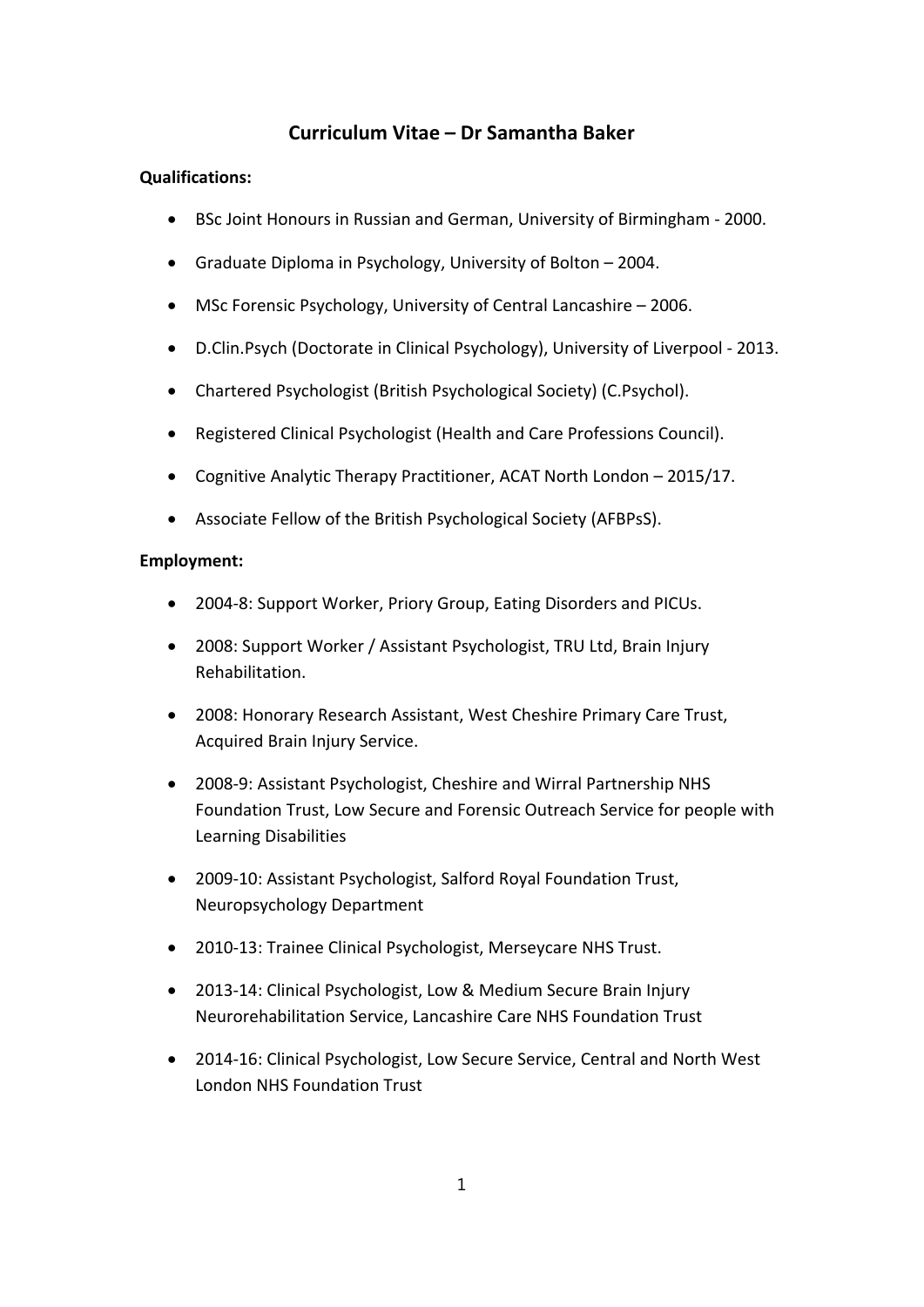## **Curriculum Vitae – Dr Samantha Baker**

## **Qualifications:**

- BSc Joint Honours in Russian and German, University of Birmingham ‐ 2000.
- Graduate Diploma in Psychology, University of Bolton 2004.
- MSc Forensic Psychology, University of Central Lancashire 2006.
- D.Clin.Psych (Doctorate in Clinical Psychology), University of Liverpool ‐ 2013.
- Chartered Psychologist (British Psychological Society) (C.Psychol).
- Registered Clinical Psychologist (Health and Care Professions Council).
- Cognitive Analytic Therapy Practitioner, ACAT North London 2015/17.
- Associate Fellow of the British Psychological Society (AFBPsS).

## **Employment:**

- 2004‐8: Support Worker, Priory Group, Eating Disorders and PICUs.
- 2008: Support Worker / Assistant Psychologist, TRU Ltd, Brain Injury Rehabilitation.
- 2008: Honorary Research Assistant, West Cheshire Primary Care Trust, Acquired Brain Injury Service.
- 2008‐9: Assistant Psychologist, Cheshire and Wirral Partnership NHS Foundation Trust, Low Secure and Forensic Outreach Service for people with Learning Disabilities
- 2009-10: Assistant Psychologist, Salford Royal Foundation Trust, Neuropsychology Department
- 2010‐13: Trainee Clinical Psychologist, Merseycare NHS Trust.
- 2013-14: Clinical Psychologist, Low & Medium Secure Brain Injury Neurorehabilitation Service, Lancashire Care NHS Foundation Trust
- 2014‐16: Clinical Psychologist, Low Secure Service, Central and North West London NHS Foundation Trust